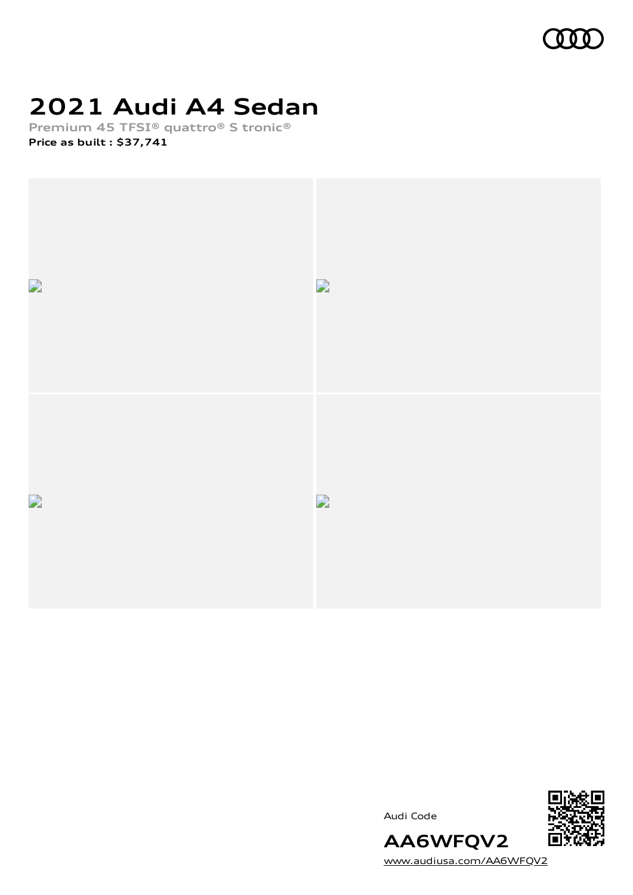

## **2021 Audi A4 Sedan**

**Premium 45 TFSI® quattro® S tronic® Price as built [:](#page-10-0) \$37,741**



Audi Code



[www.audiusa.com/AA6WFQV2](https://www.audiusa.com/AA6WFQV2)

**AA6WFQV2**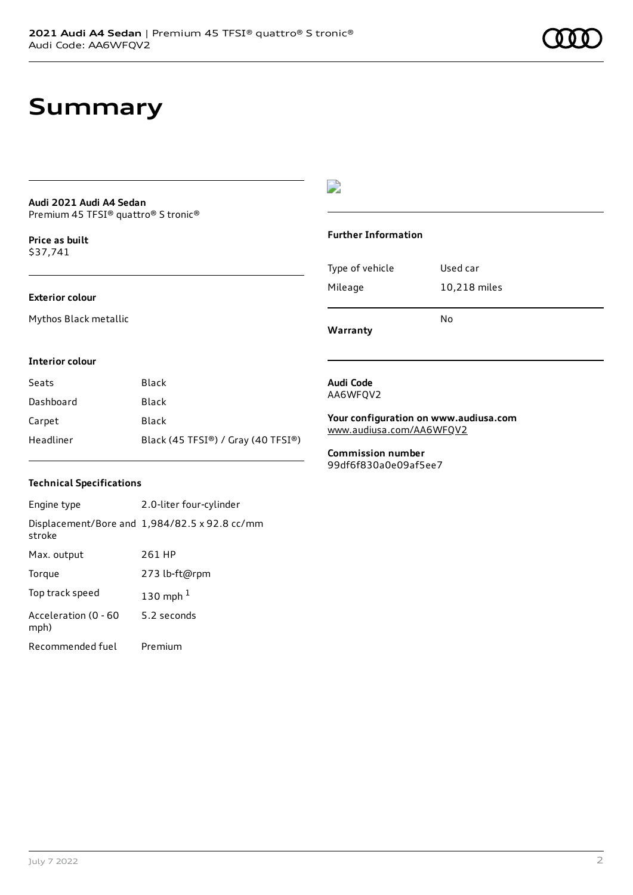## **Summary**

#### **Audi 2021 Audi A4 Sedan** Premium 45 TFSI® quattro® S tronic®

**Price as buil[t](#page-10-0)** \$37,741

### **Exterior colour**

Mythos Black metallic

### D

#### **Further Information**

| Mileage | 10,218 miles |
|---------|--------------|
|         |              |
|         | No           |

**Warranty**

#### **Interior colour**

| Seats     | Black                              |
|-----------|------------------------------------|
| Dashboard | Black                              |
| Carpet    | Black                              |
| Headliner | Black (45 TFSI®) / Gray (40 TFSI®) |

### **Technical Specifications**

Engine type 2.0-liter four-cylinder Displacement/Bore and 1,984/82.5 x 92.8 cc/mm stroke Max. output 261 HP Torque 273 lb-ft@rpm Top track speed [1](#page-10-0)30 mph $<sup>1</sup>$ </sup> Acceleration (0 - 60 mph) 5.2 seconds Recommended fuel Premium

#### **Audi Code** AA6WFQV2

**Your configuration on www.audiusa.com** [www.audiusa.com/AA6WFQV2](https://www.audiusa.com/AA6WFQV2)

**Commission number** 99df6f830a0e09af5ee7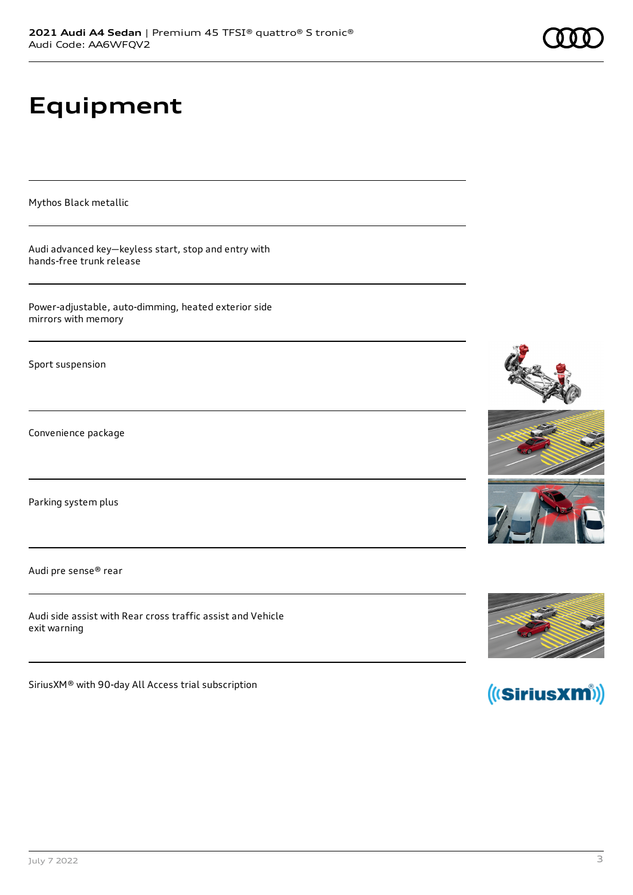# **Equipment**

Mythos Black metallic

Audi advanced key—keyless start, stop and entry with hands-free trunk release

Power-adjustable, auto-dimming, heated exterior side mirrors with memory

Sport suspension

Convenience package

Parking system plus

Audi pre sense® rear

Audi side assist with Rear cross traffic assist and Vehicle exit warning

SiriusXM® with 90-day All Access trial subscription







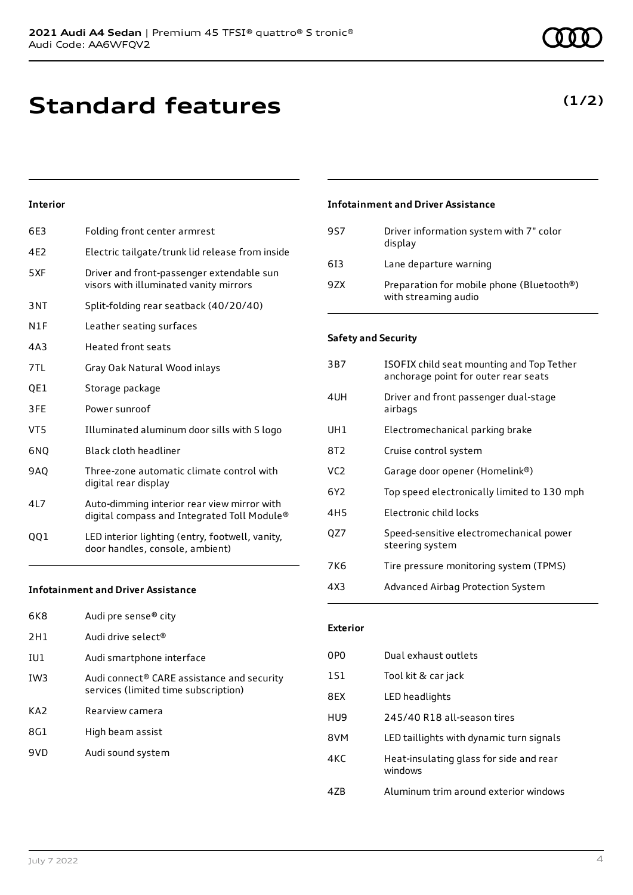**Standard features**

### **Interior**

| 6E3        | Folding front center armrest                                                               |
|------------|--------------------------------------------------------------------------------------------|
| 4E2        | Electric tailgate/trunk lid release from inside                                            |
| 5XF        | Driver and front-passenger extendable sun<br>visors with illuminated vanity mirrors        |
| 3NT        | Split-folding rear seatback (40/20/40)                                                     |
| N1F        | Leather seating surfaces                                                                   |
| 4A3        | <b>Heated front seats</b>                                                                  |
| 7TL        | Gray Oak Natural Wood inlays                                                               |
| QE1        | Storage package                                                                            |
| 3FE        | Power sunroof                                                                              |
| VT5        | Illuminated aluminum door sills with S logo                                                |
| 6NQ        | <b>Black cloth headliner</b>                                                               |
| <b>9AO</b> | Three-zone automatic climate control with<br>digital rear display                          |
| 4L7        | Auto-dimming interior rear view mirror with<br>digital compass and Integrated Toll Module® |
| 001        | LED interior lighting (entry, footwell, vanity,<br>door handles, console, ambient)         |
|            |                                                                                            |

### **Infotainment and Driver Assistance**

| 6K8             | Audi pre sense® city                                                               |
|-----------------|------------------------------------------------------------------------------------|
| 2H1             | Audi drive select <sup>®</sup>                                                     |
| IU1             | Audi smartphone interface                                                          |
| TW3             | Audi connect® CARE assistance and security<br>services (limited time subscription) |
| KA <sub>2</sub> | Rearview camera                                                                    |
| 8G1             | High beam assist                                                                   |
| 9VD             | Audi sound system                                                                  |
|                 |                                                                                    |

### **Infotainment and Driver Assistance**

| 9S7 | Driver information system with 7" color<br>display                |
|-----|-------------------------------------------------------------------|
| 613 | Lane departure warning                                            |
| 97X | Preparation for mobile phone (Bluetooth®)<br>with streaming audio |

### **Safety and Security**

| 3B7             | ISOFIX child seat mounting and Top Tether<br>anchorage point for outer rear seats |
|-----------------|-----------------------------------------------------------------------------------|
| 4UH             | Driver and front passenger dual-stage<br>airbags                                  |
| UH <sub>1</sub> | Electromechanical parking brake                                                   |
| 8T2             | Cruise control system                                                             |
| VC <sub>2</sub> | Garage door opener (Homelink®)                                                    |
| 6Y <sub>2</sub> | Top speed electronically limited to 130 mph                                       |
| 4H <sub>5</sub> | Electronic child locks                                                            |
| QZ7             | Speed-sensitive electromechanical power<br>steering system                        |
| 7K6             | Tire pressure monitoring system (TPMS)                                            |
| 4X3             | Advanced Airbag Protection System                                                 |
|                 |                                                                                   |

### **Exterior**

| 0P <sub>0</sub> | Dual exhaust outlets                               |
|-----------------|----------------------------------------------------|
| <b>1S1</b>      | Tool kit & car jack                                |
| 8FX             | LED headlights                                     |
| HU9             | 245/40 R18 all-season tires                        |
| 8VM             | LED taillights with dynamic turn signals           |
| 4KC             | Heat-insulating glass for side and rear<br>windows |
| 47B             | Aluminum trim around exterior windows              |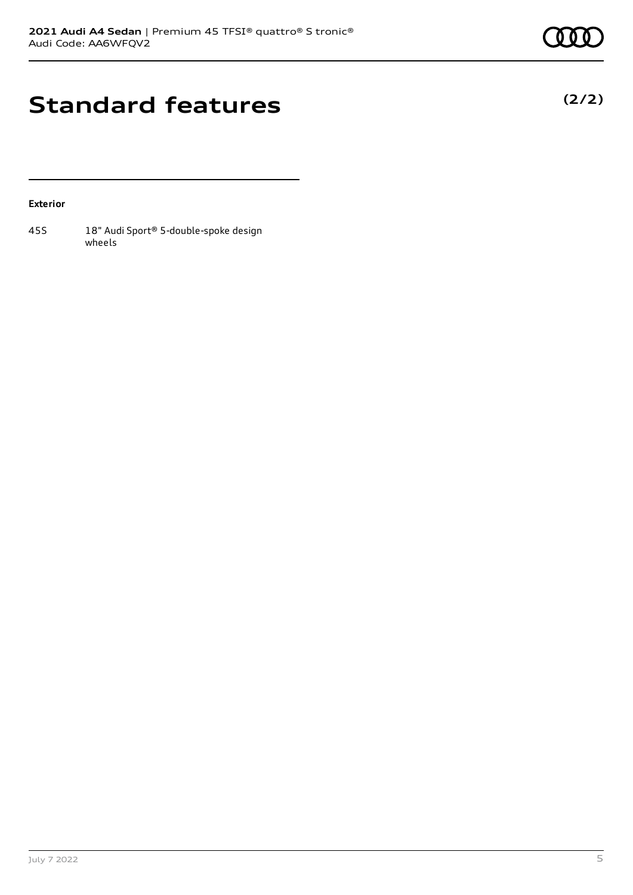**(2/2)**

## **Standard features**

### **Exterior**

45S 18" Audi Sport® 5-double-spoke design wheels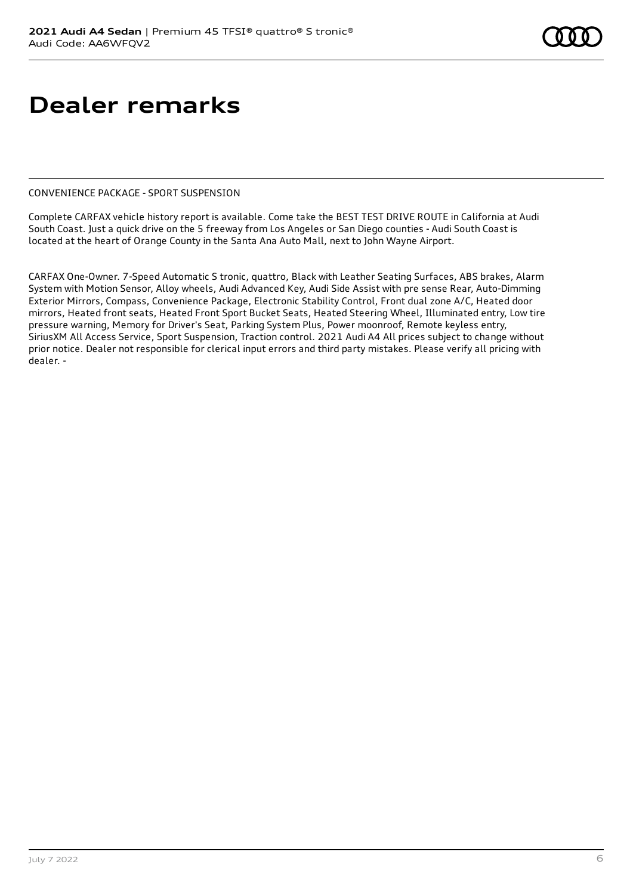## **Dealer remarks**

#### CONVENIENCE PACKAGE - SPORT SUSPENSION

Complete CARFAX vehicle history report is available. Come take the BEST TEST DRIVE ROUTE in California at Audi South Coast. Just a quick drive on the 5 freeway from Los Angeles or San Diego counties - Audi South Coast is located at the heart of Orange County in the Santa Ana Auto Mall, next to John Wayne Airport.

CARFAX One-Owner. 7-Speed Automatic S tronic, quattro, Black with Leather Seating Surfaces, ABS brakes, Alarm System with Motion Sensor, Alloy wheels, Audi Advanced Key, Audi Side Assist with pre sense Rear, Auto-Dimming Exterior Mirrors, Compass, Convenience Package, Electronic Stability Control, Front dual zone A/C, Heated door mirrors, Heated front seats, Heated Front Sport Bucket Seats, Heated Steering Wheel, Illuminated entry, Low tire pressure warning, Memory for Driver's Seat, Parking System Plus, Power moonroof, Remote keyless entry, SiriusXM All Access Service, Sport Suspension, Traction control. 2021 Audi A4 All prices subject to change without prior notice. Dealer not responsible for clerical input errors and third party mistakes. Please verify all pricing with dealer. -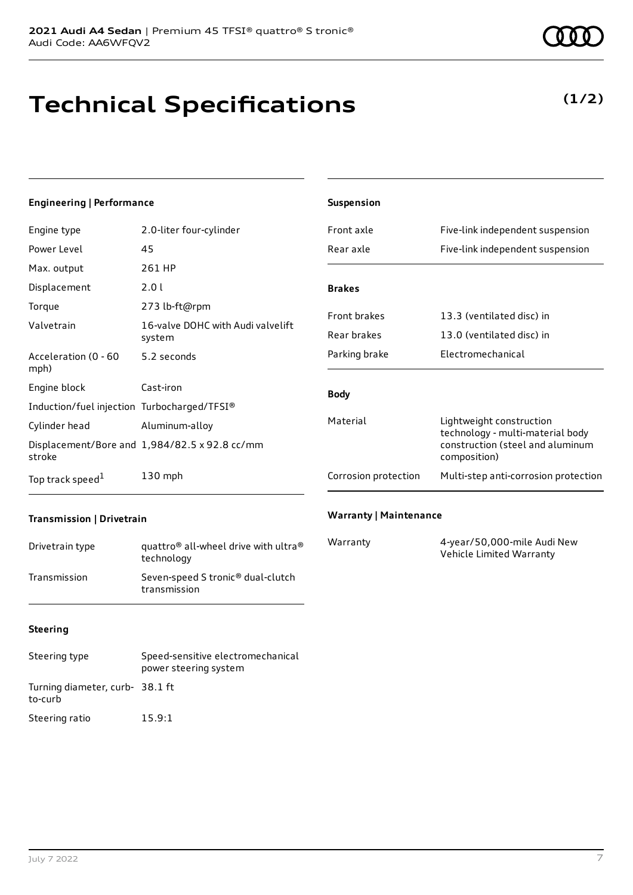## **Technical Specifications**

**2021 Audi A4 Sedan** | Premium 45 TFSI® quattro® S tronic®

### Engine type 2.0-liter four-cylinder

**Engineering | Performance**

| Power Level                                 | 45                                            |
|---------------------------------------------|-----------------------------------------------|
| Max. output                                 | 261 HP                                        |
| Displacement                                | 2.01                                          |
| Torque                                      | 273 lb-ft@rpm                                 |
| Valvetrain                                  | 16-valve DOHC with Audi valvelift<br>system   |
| Acceleration (0 - 60<br>mph)                | 5.2 seconds                                   |
| Engine block                                | Cast-iron                                     |
| Induction/fuel injection Turbocharged/TFSI® |                                               |
| Cylinder head                               | Aluminum-alloy                                |
| stroke                                      | Displacement/Bore and 1,984/82.5 x 92.8 cc/mm |
| Top track speed <sup>1</sup>                | $130$ mph                                     |

| Front axle           | Five-link independent suspension                                                                                 |
|----------------------|------------------------------------------------------------------------------------------------------------------|
| Rear axle            | Five-link independent suspension                                                                                 |
| <b>Brakes</b>        |                                                                                                                  |
| <b>Front brakes</b>  | 13.3 (ventilated disc) in                                                                                        |
| Rear brakes          | 13.0 (ventilated disc) in                                                                                        |
| Parking brake        | Electromechanical                                                                                                |
|                      |                                                                                                                  |
| <b>Body</b>          |                                                                                                                  |
| Material             | Lightweight construction<br>technology - multi-material body<br>construction (steel and aluminum<br>composition) |
| Corrosion protection | Multi-step anti-corrosion protection                                                                             |
|                      |                                                                                                                  |

### **Transmission | Drivetrain**

| Drivetrain type | quattro <sup>®</sup> all-wheel drive with ultra <sup>®</sup><br>technology |
|-----------------|----------------------------------------------------------------------------|
| Transmission    | Seven-speed S tronic <sup>®</sup> dual-clutch<br>transmission              |

### **Warranty | Maintenance**

**Suspension**

| Warranty | 4-year/50,000-mile Audi New |
|----------|-----------------------------|
|          | Vehicle Limited Warranty    |

### **Steering**

| Steering type                             | Speed-sensitive electromechanical<br>power steering system |
|-------------------------------------------|------------------------------------------------------------|
| Turning diameter, curb-38.1 ft<br>to-curb |                                                            |
| Steering ratio                            | 15.9:1                                                     |

### **(1/2)**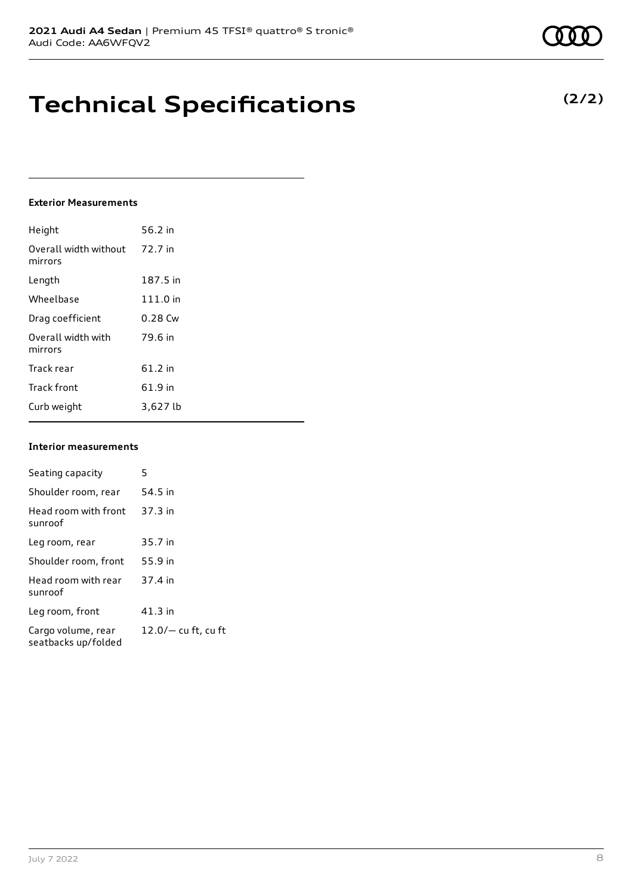## **Technical Specifications**

#### **Exterior Measurements**

| Height                           | 56.2 in  |
|----------------------------------|----------|
| Overall width without<br>mirrors | 72.7 in  |
| Length                           | 187.5 in |
| Wheelbase                        | 111.0 in |
| Drag coefficient                 | 0.28 Cw  |
| Overall width with<br>mirrors    | 79.6 in  |
| Track rear                       | 61.2 in  |
| <b>Track front</b>               | 61.9 in  |
| Curb weight                      | 3,627 lb |

#### **Interior measurements**

| Seating capacity                          | 5                     |
|-------------------------------------------|-----------------------|
| Shoulder room, rear                       | 54.5 in               |
| Head room with front<br>sunroof           | $37.3$ in             |
| Leg room, rear                            | 35.7 in               |
| Shoulder room, front                      | 55.9 in               |
| Head room with rear<br>sunroof            | 37.4 in               |
| Leg room, front                           | $41.3$ in             |
| Cargo volume, rear<br>seatbacks up/folded | $12.0/-$ cu ft, cu ft |

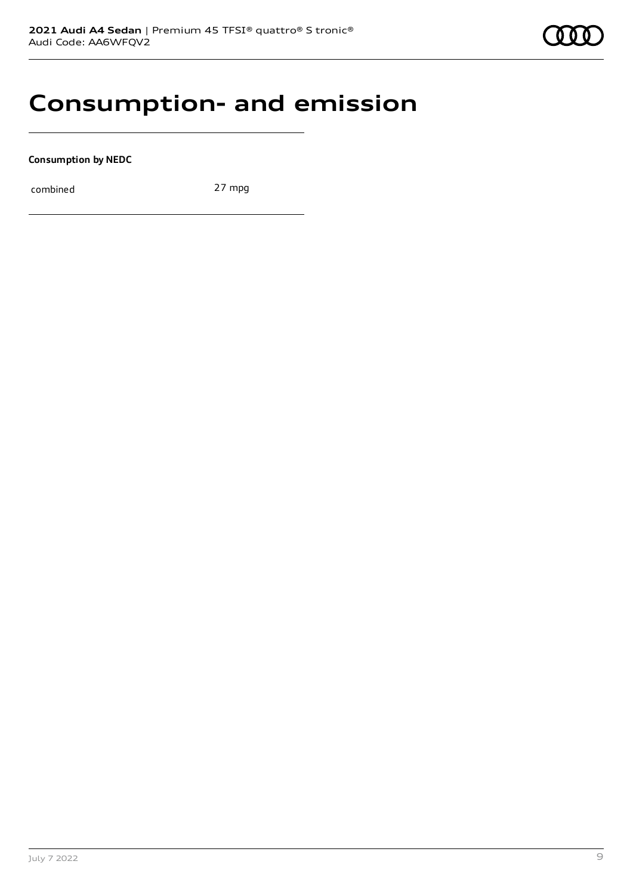

### **Consumption- and emission**

**Consumption by NEDC**

combined 27 mpg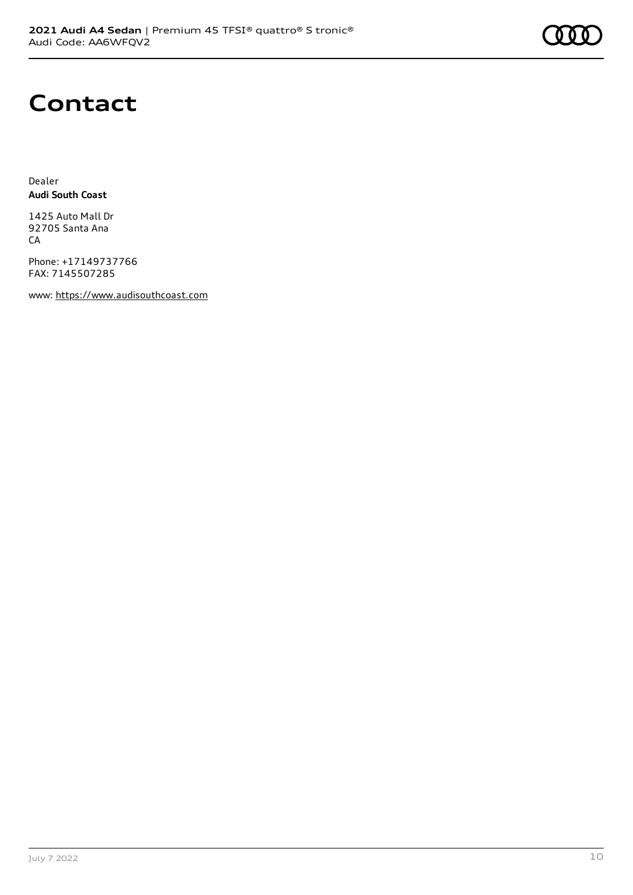

## **Contact**

Dealer **Audi South Coast**

1425 Auto Mall Dr 92705 Santa Ana **CA** 

Phone: +17149737766 FAX: 7145507285

www: [https://www.audisouthcoast.com](https://www.audisouthcoast.com/)